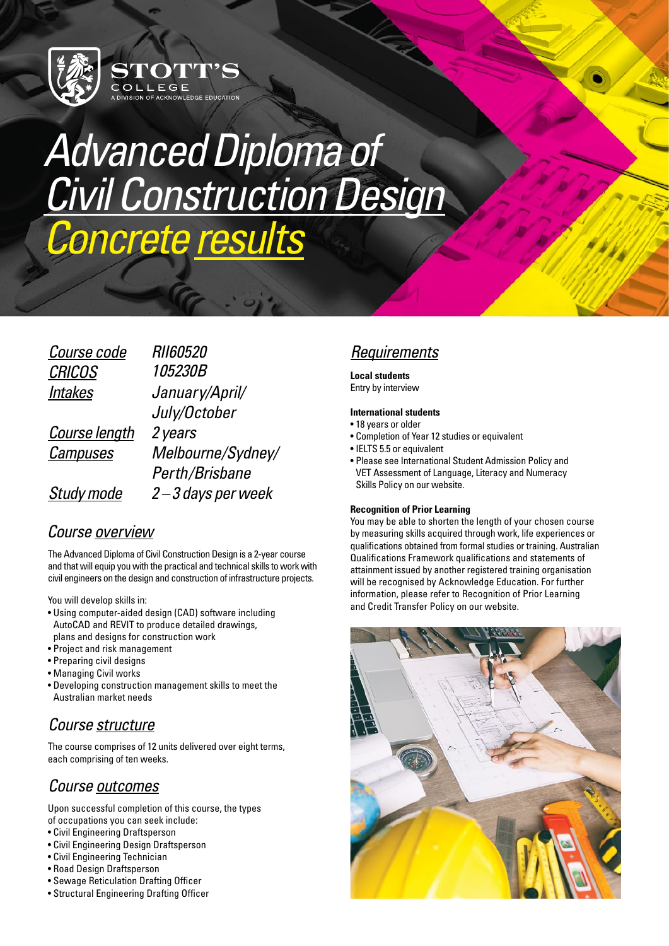

# *Advanced Diploma of [Civil Construction Design](https://www.stotts.edu.au/courses/vocational/advanced-diploma-civil-construction-design/)  Concrete results*

OF ACKNOWLEDGE EDUCATION

| Course code       | <i>RII60520</i>   |
|-------------------|-------------------|
| <b>CRICOS</b>     | 105230B           |
| <b>Intakes</b>    | January/April/    |
|                   | July/October      |
| Course length     | 2 years           |
| <b>Campuses</b>   | Melbourne/Sydney/ |
|                   | Perth/Brisbane    |
| <b>Study mode</b> | 2-3 days per week |

### *Course overview*

The Advanced Diploma of Civil Construction Design is a 2-year course and that will equip you with the practical and technical skills to work with civil engineers on the design and construction of infrastructure projects.

You will develop skills in:

- Using computer-aided design (CAD) software including AutoCAD and REVIT to produce detailed drawings, plans and designs for construction work
- Project and risk management
- Preparing civil designs
- Managing Civil works
- Developing construction management skills to meet the Australian market needs

## *Course structure*

The course comprises of 12 units delivered over eight terms, each comprising of ten weeks.

## *Course outcomes*

Upon successful completion of this course, the types of occupations you can seek include:

- Civil Engineering Draftsperson
- Civil Engineering Design Draftsperson
- Civil Engineering Technician
- Road Design Draftsperson
- Sewage Reticulation Drafting Officer
- Structural Engineering Drafting Officer

## *Requirements*

#### **Local students** Entry by intervie[w](https://www.stotts.edu.au/courses/higher-education/bachelor-community-services/))

#### **International students**

• 18 years or older

- Completion of Year 12 studies or equivalent
- IELTS 5.5 or equivalent
- Please see [International Student Admission Policy and](https://ae.rtomanager.com.au/Publics/PublicsPages/DocView.aspx)  [VET Assessment of Language, Literacy and Numeracy](https://ae.rtomanager.com.au/Publics/PublicsPages/DocView.aspx)  [Skills Policy](https://ae.rtomanager.com.au/Publics/PublicsPages/DocView.aspx) on our website.

#### **Recognition of Prior Learning**

You may be able to shorten the length of your chosen course by measuring skills acquired through work, life experiences or qualifications obtained from formal studies or training. Australian Qualifications Framework qualifications and statements of attainment issued by another registered training organisation will be recognised by Acknowledge Education. For further information, please refer to [Recognition of Prior Learning](https://ae.rtomanager.com.au/Publics/PublicsPages/DocView.aspx)  [and Credit Transfer Policy](https://ae.rtomanager.com.au/Publics/PublicsPages/DocView.aspx) on our website.